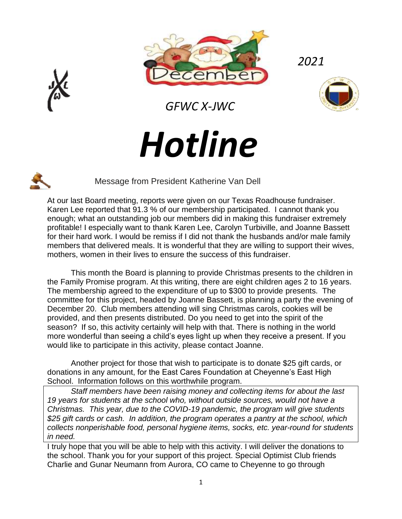



 *GFWC X-JWC*

*2021*



# *Hotline*



Message from President Katherine Van Dell

At our last Board meeting, reports were given on our Texas Roadhouse fundraiser. Karen Lee reported that 91.3 % of our membership participated. I cannot thank you enough; what an outstanding job our members did in making this fundraiser extremely profitable! I especially want to thank Karen Lee, Carolyn Turbiville, and Joanne Bassett for their hard work. I would be remiss if I did not thank the husbands and/or male family members that delivered meals. It is wonderful that they are willing to support their wives, mothers, women in their lives to ensure the success of this fundraiser.

This month the Board is planning to provide Christmas presents to the children in the Family Promise program. At this writing, there are eight children ages 2 to 16 years. The membership agreed to the expenditure of up to \$300 to provide presents. The committee for this project, headed by Joanne Bassett, is planning a party the evening of December 20. Club members attending will sing Christmas carols, cookies will be provided, and then presents distributed. Do you need to get into the spirit of the season? If so, this activity certainly will help with that. There is nothing in the world more wonderful than seeing a child's eyes light up when they receive a present. If you would like to participate in this activity, please contact Joanne.

Another project for those that wish to participate is to donate \$25 gift cards, or donations in any amount, for the East Cares Foundation at Cheyenne's East High School. Information follows on this worthwhile program.

*Staff members have been raising money and collecting items for about the last 19 years for students at the school who, without outside sources, would not have a Christmas. This year, due to the COVID-19 pandemic, the program will give students \$25 gift cards or cash. In addition, the program operates a pantry at the school, which collects nonperishable food, personal hygiene items, socks, etc. year-round for students in need.* 

I truly hope that you will be able to help with this activity. I will deliver the donations to the school. Thank you for your support of this project. Special Optimist Club friends Charlie and Gunar Neumann from Aurora, CO came to Cheyenne to go through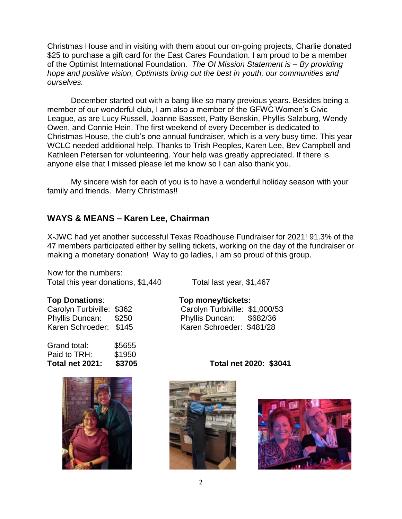Christmas House and in visiting with them about our on-going projects, Charlie donated \$25 to purchase a gift card for the East Cares Foundation. I am proud to be a member of the Optimist International Foundation. *The OI Mission Statement is – By providing hope and positive vision, Optimists bring out the best in youth, our communities and ourselves.* 

December started out with a bang like so many previous years. Besides being a member of our wonderful club, I am also a member of the GFWC Women's Civic League, as are Lucy Russell, Joanne Bassett, Patty Benskin, Phyllis Salzburg, Wendy Owen, and Connie Hein. The first weekend of every December is dedicated to Christmas House, the club's one annual fundraiser, which is a very busy time. This year WCLC needed additional help. Thanks to Trish Peoples, Karen Lee, Bev Campbell and Kathleen Petersen for volunteering. Your help was greatly appreciated. If there is anyone else that I missed please let me know so I can also thank you.

My sincere wish for each of you is to have a wonderful holiday season with your family and friends. Merry Christmas!!

#### **WAYS & MEANS – Karen Lee, Chairman**

X-JWC had yet another successful Texas Roadhouse Fundraiser for 2021! 91.3% of the 47 members participated either by selling tickets, working on the day of the fundraiser or making a monetary donation! Way to go ladies, I am so proud of this group.

Now for the numbers: Total this year donations, \$1,440 Total last year, \$1,467

| Carolyn Turbiville: \$362 |       |
|---------------------------|-------|
| Phyllis Duncan:           | \$250 |
| Karen Schroeder: \$145    |       |

| Total net 2021: | \$3705 |
|-----------------|--------|
| Paid to TRH:    | \$1950 |
| Grand total:    | \$5655 |
|                 |        |



**Top Donations**: **Top money/tickets:**

Carolyn Turbiville: \$1,000/53 Phyllis Duncan: \$682/36 Karen Schroeder: \$481/28

**Total net 2021: \$3705 Total net 2020: \$3041**



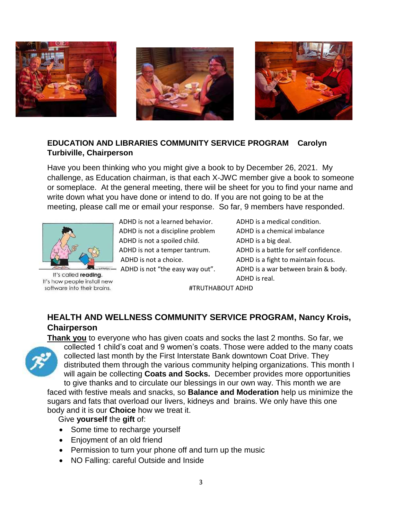





#### **EDUCATION AND LIBRARIES COMMUNITY SERVICE PROGRAM Carolyn Turbiville, Chairperson**

Have you been thinking who you might give a book to by December 26, 2021. My challenge, as Education chairman, is that each X-JWC member give a book to someone or someplace. At the general meeting, there wiil be sheet for you to find your name and write down what you have done or intend to do. If you are not going to be at the meeting, please call me or email your response. So far, 9 members have responded.



It's called reading. It's how people install new software into their brains.

 ADHD is not a learned behavior. ADHD is a medical condition. ADHD is not a discipline problem ADHD is a chemical imbalance ADHD is not a spoiled child. ADHD is a big deal.

 ADHD is not a temper tantrum. ADHD is a battle for self confidence. ADHD is not a choice. ADHD is a fight to maintain focus. ADHD is not "the easy way out". ADHD is a war between brain & body. ADHD is real.

#TRUTHABOUT ADHD

## **HEALTH AND WELLNESS COMMUNITY SERVICE PROGRAM, Nancy Krois, Chairperson**



**Thank you** to everyone who has given coats and socks the last 2 months. So far, we collected 1 child's coat and 9 women's coats. Those were added to the many coats collected last month by the First Interstate Bank downtown Coat Drive. They distributed them through the various community helping organizations. This month I will again be collecting **Coats and Socks.** December provides more opportunities

to give thanks and to circulate our blessings in our own way. This month we are faced with festive meals and snacks, so **Balance and Moderation** help us minimize the sugars and fats that overload our livers, kidneys and brains. We only have this one body and it is our **Choice** how we treat it.

Give **yourself** the **gift** of:

- Some time to recharge yourself
- Enjoyment of an old friend
- Permission to turn your phone off and turn up the music
- NO Falling: careful Outside and Inside